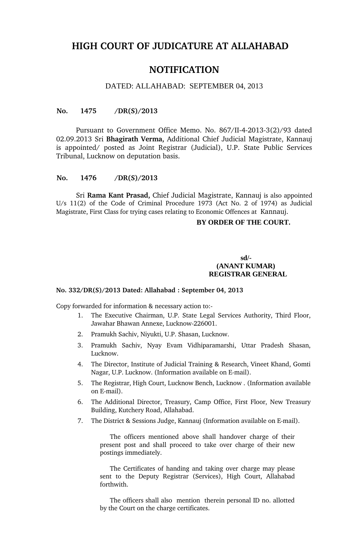# **HIGH COURT OF JUDICATURE AT ALLAHABAD**

## **NOTIFICATION**

## DATED: ALLAHABAD: SEPTEMBER 04, 2013

#### **No. 1475 /DR(S)/2013**

Pursuant to Government Office Memo. No. 867/II-4-2013-3(2)/93 dated 02.09.2013 Sri **Bhagirath Verma,** Additional Chief Judicial Magistrate, Kannauj is appointed/ posted as Joint Registrar (Judicial), U.P. State Public Services Tribunal, Lucknow on deputation basis.

## **No. 1476 /DR(S)/2013**

Sri **Rama Kant Prasad,** Chief Judicial Magistrate, Kannauj is also appointed U/s 11(2) of the Code of Criminal Procedure 1973 (Act No. 2 of 1974) as Judicial Magistrate, First Class for trying cases relating to Economic Offences at Kannauj.

#### **BY ORDER OF THE COURT.**

## **sd/- (ANANT KUMAR) REGISTRAR GENERAL**

#### **No. 332/DR(S)/2013 Dated: Allahabad : September 04, 2013**

Copy forwarded for information & necessary action to:

- 1. The Executive Chairman, U.P. State Legal Services Authority, Third Floor, Jawahar Bhawan Annexe, Lucknow-226001.
- 2. Pramukh Sachiv, Niyukti, U.P. Shasan, Lucknow.
- 3. Pramukh Sachiv, Nyay Evam Vidhiparamarshi, Uttar Pradesh Shasan, Lucknow.
- 4. The Director, Institute of Judicial Training & Research, Vineet Khand, Gomti Nagar, U.P. Lucknow. (Information available on E-mail).
- 5. The Registrar, High Court, Lucknow Bench, Lucknow . (Information available on E-mail).
- 6. The Additional Director, Treasury, Camp Office, First Floor, New Treasury Building, Kutchery Road, Allahabad.
- 7. The District & Sessions Judge, Kannauj (Information available on E-mail).

The officers mentioned above shall handover charge of their present post and shall proceed to take over charge of their new postings immediately.

The Certificates of handing and taking over charge may please sent to the Deputy Registrar (Services), High Court, Allahabad forthwith.

The officers shall also mention therein personal ID no. allotted by the Court on the charge certificates.